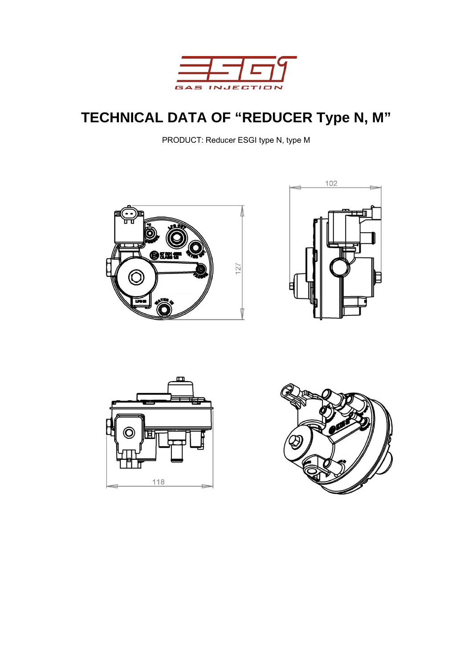

# **TECHNICAL DATA OF "REDUCER Type N, M"**

PRODUCT: Reducer ESGI type N, type M







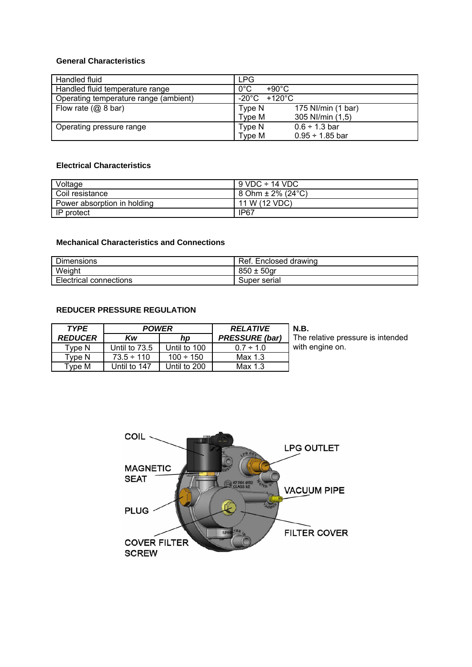#### **General Characteristics**

| Handled fluid                         | LPG                               |
|---------------------------------------|-----------------------------------|
| Handled fluid temperature range       | $0^{\circ}$ C<br>+90°C            |
| Operating temperature range (ambient) | $-20^{\circ}$ C +120 $^{\circ}$ C |
| Flow rate $(Q\ 8\ \text{bar})$        | Type N<br>175 NI/min (1 bar)      |
|                                       | Type M<br>305 NI/min (1,5)        |
| Operating pressure range              | $0.6 \div 1.3$ bar<br>Type N      |
|                                       | Type M<br>$0.95 \div 1.85$ bar    |

#### **Electrical Characteristics**

| Voltage                     | $9$ VDC $\div$ 14 VDC              |
|-----------------------------|------------------------------------|
| Coil resistance             | $8$ Ohm $\pm$ 2% (24 $^{\circ}$ C) |
| Power absorption in holding | 11 W (12 VDC)                      |
| l IP protect                | IP67                               |

#### **Mechanical Characteristics and Connections**

| <b>Dimensions</b>             | Ret.<br>Enclosed drawing |
|-------------------------------|--------------------------|
| Weight                        | $850 \pm$<br>50ar        |
| <b>Electrical connections</b> | Super serial             |

### **REDUCER PRESSURE REGULATION**

| <b>TYPE</b>       | <b>POWER</b>    |                | <b>RELATIVE</b>       | <b>N.B.</b>                       |
|-------------------|-----------------|----------------|-----------------------|-----------------------------------|
| <b>REDUCER</b>    | Kw              | hp             | <b>PRESSURE</b> (bar) | The relative pressure is intended |
| $\mathsf{v}$ pe N | Until to 73.5   | Until to 100   | $0.7 \div 1.0$        | with engine on.                   |
| Tvpe N            | $73.5 \div 110$ | $100 \div 150$ | Max 1.3               |                                   |
| Type M            | Until to 147    | Until to 200   | Max 1.3               |                                   |

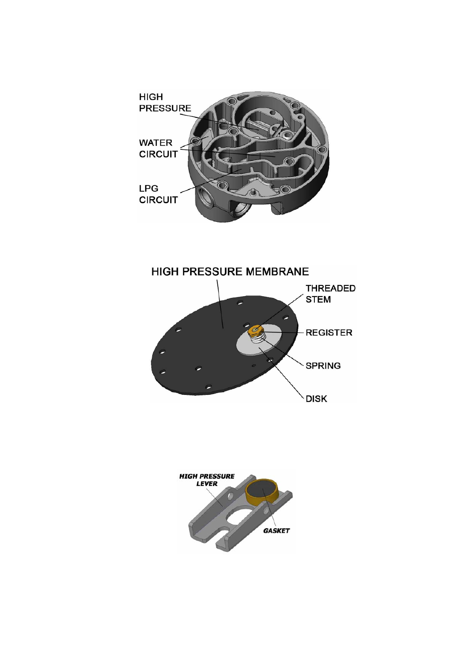